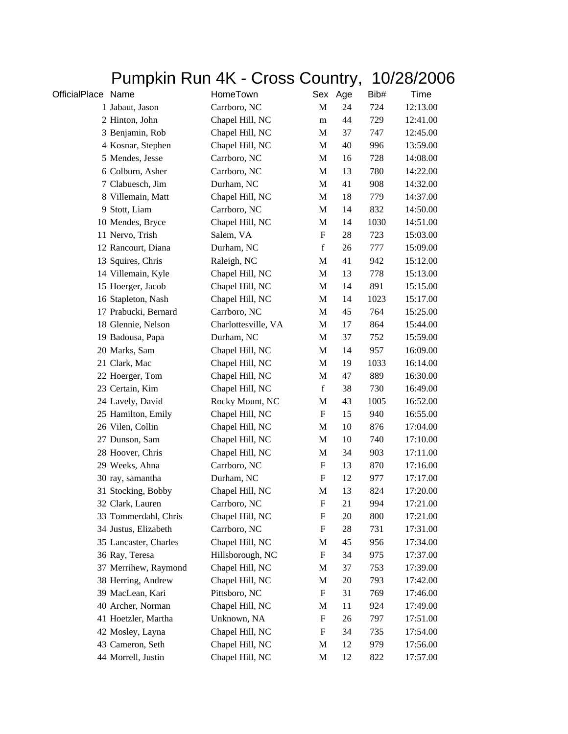## Pumpkin Run 4K - Cross Country, 10/28/2006

| OfficialPlace Name |                       | HomeTown            |                           | Sex Age | Bib# | Time     |
|--------------------|-----------------------|---------------------|---------------------------|---------|------|----------|
|                    | 1 Jabaut, Jason       | Carrboro, NC        | M                         | 24      | 724  | 12:13.00 |
|                    | 2 Hinton, John        | Chapel Hill, NC     | m                         | 44      | 729  | 12:41.00 |
|                    | 3 Benjamin, Rob       | Chapel Hill, NC     | M                         | 37      | 747  | 12:45.00 |
|                    | 4 Kosnar, Stephen     | Chapel Hill, NC     | M                         | 40      | 996  | 13:59.00 |
|                    | 5 Mendes, Jesse       | Carrboro, NC        | M                         | 16      | 728  | 14:08.00 |
|                    | 6 Colburn, Asher      | Carrboro, NC        | M                         | 13      | 780  | 14:22.00 |
|                    | 7 Clabuesch, Jim      | Durham, NC          | M                         | 41      | 908  | 14:32.00 |
|                    | 8 Villemain, Matt     | Chapel Hill, NC     | M                         | 18      | 779  | 14:37.00 |
|                    | 9 Stott, Liam         | Carrboro, NC        | M                         | 14      | 832  | 14:50.00 |
|                    | 10 Mendes, Bryce      | Chapel Hill, NC     | M                         | 14      | 1030 | 14:51.00 |
|                    | 11 Nervo, Trish       | Salem, VA           | $\boldsymbol{\mathrm{F}}$ | 28      | 723  | 15:03.00 |
|                    | 12 Rancourt, Diana    | Durham, NC          | $\mathbf f$               | 26      | 777  | 15:09.00 |
|                    | 13 Squires, Chris     | Raleigh, NC         | M                         | 41      | 942  | 15:12.00 |
|                    | 14 Villemain, Kyle    | Chapel Hill, NC     | M                         | 13      | 778  | 15:13.00 |
|                    | 15 Hoerger, Jacob     | Chapel Hill, NC     | M                         | 14      | 891  | 15:15.00 |
|                    | 16 Stapleton, Nash    | Chapel Hill, NC     | M                         | 14      | 1023 | 15:17.00 |
|                    | 17 Prabucki, Bernard  | Carrboro, NC        | M                         | 45      | 764  | 15:25.00 |
|                    | 18 Glennie, Nelson    | Charlottesville, VA | M                         | 17      | 864  | 15:44.00 |
|                    | 19 Badousa, Papa      | Durham, NC          | M                         | 37      | 752  | 15:59.00 |
|                    | 20 Marks, Sam         | Chapel Hill, NC     | M                         | 14      | 957  | 16:09.00 |
|                    | 21 Clark, Mac         | Chapel Hill, NC     | M                         | 19      | 1033 | 16:14.00 |
|                    | 22 Hoerger, Tom       | Chapel Hill, NC     | M                         | 47      | 889  | 16:30.00 |
|                    | 23 Certain, Kim       | Chapel Hill, NC     | $\mathbf f$               | 38      | 730  | 16:49.00 |
|                    | 24 Lavely, David      | Rocky Mount, NC     | M                         | 43      | 1005 | 16:52.00 |
|                    | 25 Hamilton, Emily    | Chapel Hill, NC     | $\boldsymbol{\mathrm{F}}$ | 15      | 940  | 16:55.00 |
|                    | 26 Vilen, Collin      | Chapel Hill, NC     | M                         | 10      | 876  | 17:04.00 |
|                    | 27 Dunson, Sam        | Chapel Hill, NC     | M                         | 10      | 740  | 17:10.00 |
|                    | 28 Hoover, Chris      | Chapel Hill, NC     | M                         | 34      | 903  | 17:11.00 |
|                    | 29 Weeks, Ahna        | Carrboro, NC        | $\boldsymbol{\mathrm{F}}$ | 13      | 870  | 17:16.00 |
|                    | 30 ray, samantha      | Durham, NC          | F                         | 12      | 977  | 17:17.00 |
|                    | 31 Stocking, Bobby    | Chapel Hill, NC     | M                         | 13      | 824  | 17:20.00 |
|                    | 32 Clark, Lauren      | Carrboro, NC        | ${\bf F}$                 | 21      | 994  | 17:21.00 |
|                    | 33 Tommerdahl, Chris  | Chapel Hill, NC     | F                         | 20      | 800  | 17:21.00 |
|                    | 34 Justus, Elizabeth  | Carrboro, NC        | $\mathbf F$               | 28      | 731  | 17:31.00 |
|                    | 35 Lancaster, Charles | Chapel Hill, NC     | M                         | 45      | 956  | 17:34.00 |
|                    | 36 Ray, Teresa        | Hillsborough, NC    | F                         | 34      | 975  | 17:37.00 |
|                    | 37 Merrihew, Raymond  | Chapel Hill, NC     | M                         | 37      | 753  | 17:39.00 |
|                    | 38 Herring, Andrew    | Chapel Hill, NC     | M                         | 20      | 793  | 17:42.00 |
|                    | 39 MacLean, Kari      | Pittsboro, NC       | $\boldsymbol{F}$          | 31      | 769  | 17:46.00 |
|                    | 40 Archer, Norman     | Chapel Hill, NC     | M                         | 11      | 924  | 17:49.00 |
|                    | 41 Hoetzler, Martha   | Unknown, NA         | F                         | 26      | 797  | 17:51.00 |
|                    | 42 Mosley, Layna      | Chapel Hill, NC     | F                         | 34      | 735  | 17:54.00 |
|                    | 43 Cameron, Seth      | Chapel Hill, NC     | M                         | 12      | 979  | 17:56.00 |
|                    | 44 Morrell, Justin    | Chapel Hill, NC     | M                         | 12      | 822  | 17:57.00 |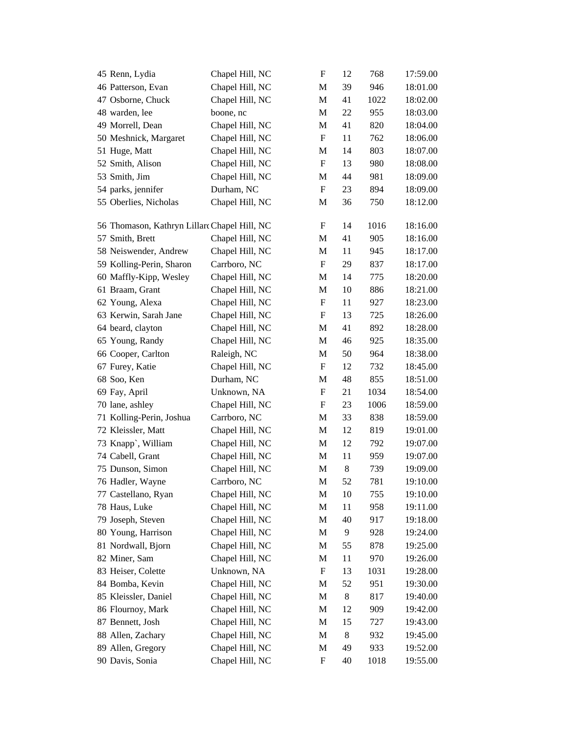| 45 Renn, Lydia                               | Chapel Hill, NC | F                         | 12             | 768  | 17:59.00 |
|----------------------------------------------|-----------------|---------------------------|----------------|------|----------|
| 46 Patterson, Evan                           | Chapel Hill, NC | M                         | 39             | 946  | 18:01.00 |
| 47 Osborne, Chuck                            | Chapel Hill, NC | M                         | 41             | 1022 | 18:02.00 |
| 48 warden, lee                               | boone, nc       | M                         | 22             | 955  | 18:03.00 |
| 49 Morrell, Dean                             | Chapel Hill, NC | M                         | 41             | 820  | 18:04.00 |
| 50 Meshnick, Margaret                        | Chapel Hill, NC | $\boldsymbol{\mathrm{F}}$ | 11             | 762  | 18:06.00 |
| 51 Huge, Matt                                | Chapel Hill, NC | M                         | 14             | 803  | 18:07.00 |
| 52 Smith, Alison                             | Chapel Hill, NC | F                         | 13             | 980  | 18:08.00 |
| 53 Smith, Jim                                | Chapel Hill, NC | M                         | 44             | 981  | 18:09.00 |
| 54 parks, jennifer                           | Durham, NC      | $\boldsymbol{\mathrm{F}}$ | 23             | 894  | 18:09.00 |
| 55 Oberlies, Nicholas                        | Chapel Hill, NC | M                         | 36             | 750  | 18:12.00 |
|                                              |                 |                           |                |      |          |
| 56 Thomason, Kathryn Lillard Chapel Hill, NC |                 | F                         | 14             | 1016 | 18:16.00 |
| 57 Smith, Brett                              | Chapel Hill, NC | M                         | 41             | 905  | 18:16.00 |
| 58 Neiswender, Andrew                        | Chapel Hill, NC | M                         | 11             | 945  | 18:17.00 |
| 59 Kolling-Perin, Sharon                     | Carrboro, NC    | $\boldsymbol{\mathrm{F}}$ | 29             | 837  | 18:17.00 |
| 60 Maffly-Kipp, Wesley                       | Chapel Hill, NC | M                         | 14             | 775  | 18:20.00 |
| 61 Braam, Grant                              | Chapel Hill, NC | M                         | 10             | 886  | 18:21.00 |
| 62 Young, Alexa                              | Chapel Hill, NC | F                         | 11             | 927  | 18:23.00 |
| 63 Kerwin, Sarah Jane                        | Chapel Hill, NC | F                         | 13             | 725  | 18:26.00 |
| 64 beard, clayton                            | Chapel Hill, NC | M                         | 41             | 892  | 18:28.00 |
| 65 Young, Randy                              | Chapel Hill, NC | M                         | 46             | 925  | 18:35.00 |
| 66 Cooper, Carlton                           | Raleigh, NC     | M                         | 50             | 964  | 18:38.00 |
| 67 Furey, Katie                              | Chapel Hill, NC | $\boldsymbol{\mathrm{F}}$ | 12             | 732  | 18:45.00 |
| 68 Soo, Ken                                  | Durham, NC      | M                         | 48             | 855  | 18:51.00 |
| 69 Fay, April                                | Unknown, NA     | F                         | 21             | 1034 | 18:54.00 |
| 70 lane, ashley                              | Chapel Hill, NC | F                         | 23             | 1006 | 18:59.00 |
| 71 Kolling-Perin, Joshua                     | Carrboro, NC    | M                         | 33             | 838  | 18:59.00 |
| 72 Kleissler, Matt                           | Chapel Hill, NC | M                         | 12             | 819  | 19:01.00 |
| 73 Knapp`, William                           | Chapel Hill, NC | M                         | 12             | 792  | 19:07.00 |
| 74 Cabell, Grant                             | Chapel Hill, NC | M                         | 11             | 959  | 19:07.00 |
| 75 Dunson, Simon                             | Chapel Hill, NC | M                         | $8\phantom{1}$ | 739  | 19:09.00 |
| 76 Hadler, Wayne                             | Carrboro, NC    | M                         | 52             | 781  | 19:10.00 |
| 77 Castellano, Ryan                          | Chapel Hill, NC | M                         | 10             | 755  | 19:10.00 |
| 78 Haus, Luke                                | Chapel Hill, NC | M                         | 11             | 958  | 19:11.00 |
| 79 Joseph, Steven                            | Chapel Hill, NC | M                         | 40             | 917  | 19:18.00 |
| 80 Young, Harrison                           | Chapel Hill, NC | M                         | 9              | 928  | 19:24.00 |
| 81 Nordwall, Bjorn                           | Chapel Hill, NC | M                         | 55             | 878  | 19:25.00 |
| 82 Miner, Sam                                | Chapel Hill, NC | M                         | 11             | 970  | 19:26.00 |
| 83 Heiser, Colette                           | Unknown, NA     | F                         | 13             | 1031 | 19:28.00 |
| 84 Bomba, Kevin                              | Chapel Hill, NC | M                         | 52             | 951  | 19:30.00 |
| 85 Kleissler, Daniel                         | Chapel Hill, NC | M                         | $8\phantom{1}$ | 817  | 19:40.00 |
| 86 Flournoy, Mark                            | Chapel Hill, NC | M                         | 12             | 909  | 19:42.00 |
| 87 Bennett, Josh                             | Chapel Hill, NC | M                         | 15             | 727  | 19:43.00 |
| 88 Allen, Zachary                            | Chapel Hill, NC | M                         | $8\phantom{1}$ | 932  | 19:45.00 |
| 89 Allen, Gregory                            | Chapel Hill, NC | M                         | 49             | 933  | 19:52.00 |
| 90 Davis, Sonia                              | Chapel Hill, NC | F                         | 40             | 1018 | 19:55.00 |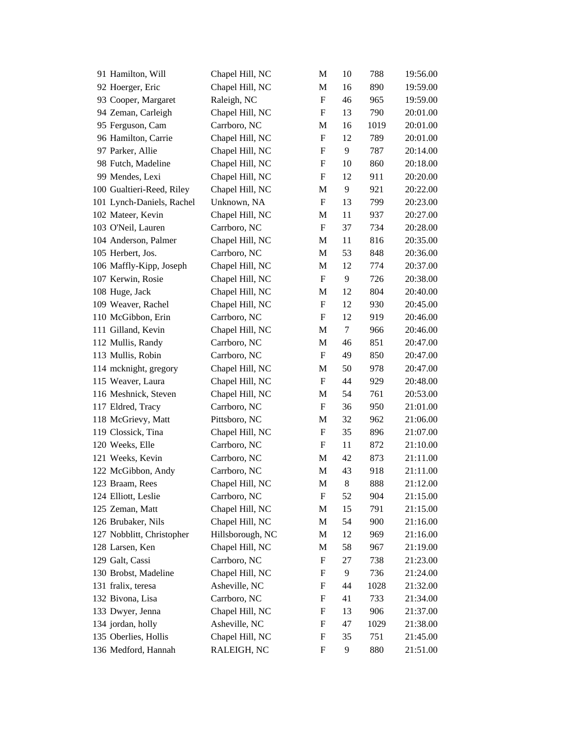|                    | 91 Hamilton, Will         | Chapel Hill, NC  | M                         | 10      | 788  | 19:56.00 |
|--------------------|---------------------------|------------------|---------------------------|---------|------|----------|
|                    | 92 Hoerger, Eric          | Chapel Hill, NC  | M                         | 16      | 890  | 19:59.00 |
|                    | 93 Cooper, Margaret       | Raleigh, NC      | $\boldsymbol{\mathrm{F}}$ | 46      | 965  | 19:59.00 |
|                    | 94 Zeman, Carleigh        | Chapel Hill, NC  | F                         | 13      | 790  | 20:01.00 |
|                    | 95 Ferguson, Cam          | Carrboro, NC     | M                         | 16      | 1019 | 20:01.00 |
|                    | 96 Hamilton, Carrie       | Chapel Hill, NC  | $\boldsymbol{\mathrm{F}}$ | 12      | 789  | 20:01.00 |
|                    | 97 Parker, Allie          | Chapel Hill, NC  | $\boldsymbol{\mathrm{F}}$ | 9       | 787  | 20:14.00 |
|                    | 98 Futch, Madeline        | Chapel Hill, NC  | F                         | 10      | 860  | 20:18.00 |
|                    | 99 Mendes, Lexi           | Chapel Hill, NC  | F                         | 12      | 911  | 20:20.00 |
|                    | 100 Gualtieri-Reed, Riley | Chapel Hill, NC  | M                         | 9       | 921  | 20:22.00 |
|                    | 101 Lynch-Daniels, Rachel | Unknown, NA      | $\boldsymbol{\mathrm{F}}$ | 13      | 799  | 20:23.00 |
|                    | 102 Mateer, Kevin         | Chapel Hill, NC  | M                         | 11      | 937  | 20:27.00 |
|                    | 103 O'Neil, Lauren        | Carrboro, NC     | $\boldsymbol{\mathrm{F}}$ | 37      | 734  | 20:28.00 |
|                    | 104 Anderson, Palmer      | Chapel Hill, NC  | M                         | 11      | 816  | 20:35.00 |
| 105 Herbert, Jos.  |                           | Carrboro, NC     | M                         | 53      | 848  | 20:36.00 |
|                    | 106 Maffly-Kipp, Joseph   | Chapel Hill, NC  | M                         | 12      | 774  | 20:37.00 |
|                    | 107 Kerwin, Rosie         | Chapel Hill, NC  | $\boldsymbol{\mathrm{F}}$ | 9       | 726  | 20:38.00 |
| 108 Huge, Jack     |                           | Chapel Hill, NC  | M                         | 12      | 804  | 20:40.00 |
|                    | 109 Weaver, Rachel        | Chapel Hill, NC  | F                         | 12      | 930  | 20:45.00 |
|                    | 110 McGibbon, Erin        | Carrboro, NC     | $\boldsymbol{\mathrm{F}}$ | 12      | 919  | 20:46.00 |
|                    | 111 Gilland, Kevin        | Chapel Hill, NC  | M                         | 7       | 966  | 20:46.00 |
|                    | 112 Mullis, Randy         | Carrboro, NC     | M                         | 46      | 851  | 20:47.00 |
|                    | 113 Mullis, Robin         | Carrboro, NC     | $\boldsymbol{\mathrm{F}}$ | 49      | 850  | 20:47.00 |
|                    | 114 mcknight, gregory     | Chapel Hill, NC  | M                         | 50      | 978  | 20:47.00 |
|                    | 115 Weaver, Laura         | Chapel Hill, NC  | F                         | 44      | 929  | 20:48.00 |
|                    | 116 Meshnick, Steven      | Chapel Hill, NC  | M                         | 54      | 761  | 20:53.00 |
|                    | 117 Eldred, Tracy         | Carrboro, NC     | $\boldsymbol{\mathrm{F}}$ | 36      | 950  | 21:01.00 |
|                    | 118 McGrievy, Matt        | Pittsboro, NC    | M                         | 32      | 962  | 21:06.00 |
|                    | 119 Clossick, Tina        | Chapel Hill, NC  | F                         | 35      | 896  | 21:07.00 |
| 120 Weeks, Elle    |                           | Carrboro, NC     | F                         | 11      | 872  | 21:10.00 |
|                    | 121 Weeks, Kevin          | Carrboro, NC     | M                         | 42      | 873  | 21:11.00 |
|                    | 122 McGibbon, Andy        | Carrboro, NC     | M                         | 43      | 918  | 21:11.00 |
| 123 Braam, Rees    |                           | Chapel Hill, NC  | M                         | $\,8\,$ | 888  | 21:12.00 |
|                    | 124 Elliott, Leslie       | Carrboro, NC     | F                         | 52      | 904  | 21:15.00 |
| 125 Zeman, Matt    |                           | Chapel Hill, NC  | M                         | 15      | 791  | 21:15.00 |
|                    | 126 Brubaker, Nils        | Chapel Hill, NC  | M                         | 54      | 900  | 21:16.00 |
|                    | 127 Nobblitt, Christopher | Hillsborough, NC | M                         | 12      | 969  | 21:16.00 |
| 128 Larsen, Ken    |                           | Chapel Hill, NC  | M                         | 58      | 967  | 21:19.00 |
| 129 Galt, Cassi    |                           | Carrboro, NC     | F                         | 27      | 738  | 21:23.00 |
|                    | 130 Brobst, Madeline      | Chapel Hill, NC  | F                         | 9       | 736  | 21:24.00 |
| 131 fralix, teresa |                           | Asheville, NC    | F                         | 44      | 1028 | 21:32.00 |
| 132 Bivona, Lisa   |                           | Carrboro, NC     | F                         | 41      | 733  | 21:34.00 |
|                    | 133 Dwyer, Jenna          | Chapel Hill, NC  | F                         | 13      | 906  | 21:37.00 |
| 134 jordan, holly  |                           | Asheville, NC    | F                         | 47      | 1029 | 21:38.00 |
|                    | 135 Oberlies, Hollis      | Chapel Hill, NC  | F                         | 35      | 751  | 21:45.00 |
|                    | 136 Medford, Hannah       | RALEIGH, NC      | F                         | 9       | 880  | 21:51.00 |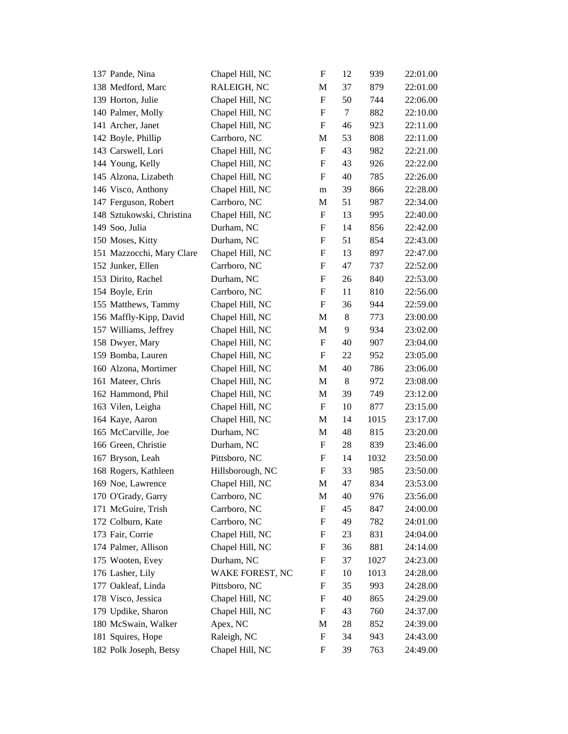| 137 Pande, Nina           | Chapel Hill, NC  | $\boldsymbol{\mathrm{F}}$ | 12    | 939  | 22:01.00 |
|---------------------------|------------------|---------------------------|-------|------|----------|
| 138 Medford, Marc         | RALEIGH, NC      | M                         | 37    | 879  | 22:01.00 |
| 139 Horton, Julie         | Chapel Hill, NC  | $\boldsymbol{\mathrm{F}}$ | 50    | 744  | 22:06.00 |
| 140 Palmer, Molly         | Chapel Hill, NC  | F                         | 7     | 882  | 22:10.00 |
| 141 Archer, Janet         | Chapel Hill, NC  | F                         | 46    | 923  | 22:11.00 |
| 142 Boyle, Phillip        | Carrboro, NC     | M                         | 53    | 808  | 22:11.00 |
| 143 Carswell, Lori        | Chapel Hill, NC  | $\boldsymbol{\mathrm{F}}$ | 43    | 982  | 22:21.00 |
| 144 Young, Kelly          | Chapel Hill, NC  | F                         | 43    | 926  | 22:22.00 |
| 145 Alzona, Lizabeth      | Chapel Hill, NC  | F                         | 40    | 785  | 22:26.00 |
| 146 Visco, Anthony        | Chapel Hill, NC  | m                         | 39    | 866  | 22:28.00 |
| 147 Ferguson, Robert      | Carrboro, NC     | M                         | 51    | 987  | 22:34.00 |
| 148 Sztukowski, Christina | Chapel Hill, NC  | F                         | 13    | 995  | 22:40.00 |
| 149 Soo, Julia            | Durham, NC       | F                         | 14    | 856  | 22:42.00 |
| 150 Moses, Kitty          | Durham, NC       | F                         | 51    | 854  | 22:43.00 |
| 151 Mazzocchi, Mary Clare | Chapel Hill, NC  | F                         | 13    | 897  | 22:47.00 |
| 152 Junker, Ellen         | Carrboro, NC     | F                         | 47    | 737  | 22:52.00 |
| 153 Dirito, Rachel        | Durham, NC       | F                         | 26    | 840  | 22:53.00 |
| 154 Boyle, Erin           | Carrboro, NC     | F                         | 11    | 810  | 22:56.00 |
| 155 Matthews, Tammy       | Chapel Hill, NC  | $\boldsymbol{F}$          | 36    | 944  | 22:59.00 |
| 156 Maffly-Kipp, David    | Chapel Hill, NC  | M                         | $8\,$ | 773  | 23:00.00 |
| 157 Williams, Jeffrey     | Chapel Hill, NC  | M                         | 9     | 934  | 23:02.00 |
| 158 Dwyer, Mary           | Chapel Hill, NC  | F                         | 40    | 907  | 23:04.00 |
| 159 Bomba, Lauren         | Chapel Hill, NC  | F                         | 22    | 952  | 23:05.00 |
| 160 Alzona, Mortimer      | Chapel Hill, NC  | M                         | 40    | 786  | 23:06.00 |
| 161 Mateer, Chris         | Chapel Hill, NC  | M                         | $8\,$ | 972  | 23:08.00 |
| 162 Hammond, Phil         | Chapel Hill, NC  | M                         | 39    | 749  | 23:12.00 |
| 163 Vilen, Leigha         | Chapel Hill, NC  | F                         | 10    | 877  | 23:15.00 |
| 164 Kaye, Aaron           | Chapel Hill, NC  | M                         | 14    | 1015 | 23:17.00 |
| 165 McCarville, Joe       | Durham, NC       | M                         | 48    | 815  | 23:20.00 |
| 166 Green, Christie       | Durham, NC       | F                         | 28    | 839  | 23:46.00 |
| 167 Bryson, Leah          | Pittsboro, NC    | F                         | 14    | 1032 | 23:50.00 |
| 168 Rogers, Kathleen      | Hillsborough, NC | $\boldsymbol{\mathrm{F}}$ | 33    | 985  | 23:50.00 |
| 169 Noe, Lawrence         | Chapel Hill, NC  | M                         | 47    | 834  | 23:53.00 |
| 170 O'Grady, Garry        | Carrboro, NC     | M                         | 40    | 976  | 23:56.00 |
| 171 McGuire, Trish        | Carrboro, NC     | F                         | 45    | 847  | 24:00.00 |
| 172 Colburn, Kate         | Carrboro, NC     | F                         | 49    | 782  | 24:01.00 |
| 173 Fair, Corrie          | Chapel Hill, NC  | F                         | 23    | 831  | 24:04.00 |
| 174 Palmer, Allison       | Chapel Hill, NC  | F                         | 36    | 881  | 24:14.00 |
| 175 Wooten, Evey          | Durham, NC       | F                         | 37    | 1027 | 24:23.00 |
| 176 Lasher, Lily          | WAKE FOREST, NC  | F                         | 10    | 1013 | 24:28.00 |
| 177 Oakleaf, Linda        | Pittsboro, NC    | F                         | 35    | 993  | 24:28.00 |
| 178 Visco, Jessica        | Chapel Hill, NC  | F                         | 40    | 865  | 24:29.00 |
| 179 Updike, Sharon        | Chapel Hill, NC  | F                         | 43    | 760  | 24:37.00 |
| 180 McSwain, Walker       | Apex, NC         | M                         | 28    | 852  | 24:39.00 |
| 181 Squires, Hope         | Raleigh, NC      | F                         | 34    | 943  | 24:43.00 |
| 182 Polk Joseph, Betsy    | Chapel Hill, NC  | F                         | 39    | 763  | 24:49.00 |
|                           |                  |                           |       |      |          |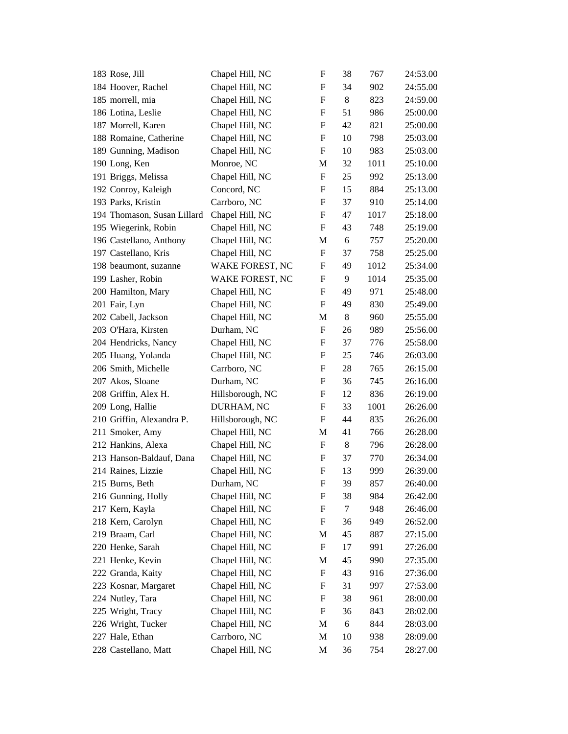| 183 Rose, Jill              | Chapel Hill, NC  | F                         | 38    | 767  | 24:53.00 |
|-----------------------------|------------------|---------------------------|-------|------|----------|
| 184 Hoover, Rachel          | Chapel Hill, NC  | $\mathbf F$               | 34    | 902  | 24:55.00 |
| 185 morrell, mia            | Chapel Hill, NC  | $\mathbf F$               | 8     | 823  | 24:59.00 |
| 186 Lotina, Leslie          | Chapel Hill, NC  | F                         | 51    | 986  | 25:00.00 |
| 187 Morrell, Karen          | Chapel Hill, NC  | F                         | 42    | 821  | 25:00.00 |
| 188 Romaine, Catherine      | Chapel Hill, NC  | F                         | 10    | 798  | 25:03.00 |
| 189 Gunning, Madison        | Chapel Hill, NC  | F                         | 10    | 983  | 25:03.00 |
| 190 Long, Ken               | Monroe, NC       | M                         | 32    | 1011 | 25:10.00 |
| 191 Briggs, Melissa         | Chapel Hill, NC  | F                         | 25    | 992  | 25:13.00 |
| 192 Conroy, Kaleigh         | Concord, NC      | F                         | 15    | 884  | 25:13.00 |
| 193 Parks, Kristin          | Carrboro, NC     | F                         | 37    | 910  | 25:14.00 |
| 194 Thomason, Susan Lillard | Chapel Hill, NC  | $\boldsymbol{\mathrm{F}}$ | 47    | 1017 | 25:18.00 |
| 195 Wiegerink, Robin        | Chapel Hill, NC  | F                         | 43    | 748  | 25:19.00 |
| 196 Castellano, Anthony     | Chapel Hill, NC  | M                         | 6     | 757  | 25:20.00 |
| 197 Castellano, Kris        | Chapel Hill, NC  | F                         | 37    | 758  | 25:25.00 |
| 198 beaumont, suzanne       | WAKE FOREST, NC  | F                         | 49    | 1012 | 25:34.00 |
| 199 Lasher, Robin           | WAKE FOREST, NC  | F                         | 9     | 1014 | 25:35.00 |
| 200 Hamilton, Mary          | Chapel Hill, NC  | $\boldsymbol{\mathrm{F}}$ | 49    | 971  | 25:48.00 |
| 201 Fair, Lyn               | Chapel Hill, NC  | F                         | 49    | 830  | 25:49.00 |
| 202 Cabell, Jackson         | Chapel Hill, NC  | M                         | 8     | 960  | 25:55.00 |
| 203 O'Hara, Kirsten         | Durham, NC       | $\mathbf F$               | 26    | 989  | 25:56.00 |
| 204 Hendricks, Nancy        | Chapel Hill, NC  | F                         | 37    | 776  | 25:58.00 |
| 205 Huang, Yolanda          | Chapel Hill, NC  | $\boldsymbol{\mathrm{F}}$ | 25    | 746  | 26:03.00 |
| 206 Smith, Michelle         | Carrboro, NC     | F                         | 28    | 765  | 26:15.00 |
| 207 Akos, Sloane            | Durham, NC       | F                         | 36    | 745  | 26:16.00 |
| 208 Griffin, Alex H.        | Hillsborough, NC | F                         | 12    | 836  | 26:19.00 |
| 209 Long, Hallie            | DURHAM, NC       | F                         | 33    | 1001 | 26:26.00 |
| 210 Griffin, Alexandra P.   | Hillsborough, NC | F                         | 44    | 835  | 26:26.00 |
| 211 Smoker, Amy             | Chapel Hill, NC  | М                         | 41    | 766  | 26:28.00 |
| 212 Hankins, Alexa          | Chapel Hill, NC  | F                         | $8\,$ | 796  | 26:28.00 |
| 213 Hanson-Baldauf, Dana    | Chapel Hill, NC  | F                         | 37    | 770  | 26:34.00 |
| 214 Raines, Lizzie          | Chapel Hill, NC  | $\boldsymbol{\mathrm{F}}$ | 13    | 999  | 26:39.00 |
| 215 Burns, Beth             | Durham, NC       | $\mathbf F$               | 39    | 857  | 26:40.00 |
| 216 Gunning, Holly          | Chapel Hill, NC  | F                         | 38    | 984  | 26:42.00 |
| 217 Kern, Kayla             | Chapel Hill, NC  | F                         | 7     | 948  | 26:46.00 |
| 218 Kern, Carolyn           | Chapel Hill, NC  | F                         | 36    | 949  | 26:52.00 |
| 219 Braam, Carl             | Chapel Hill, NC  | M                         | 45    | 887  | 27:15.00 |
| 220 Henke, Sarah            | Chapel Hill, NC  | F                         | 17    | 991  | 27:26.00 |
| 221 Henke, Kevin            | Chapel Hill, NC  | M                         | 45    | 990  | 27:35.00 |
| 222 Granda, Kaity           | Chapel Hill, NC  | F                         | 43    | 916  | 27:36.00 |
| 223 Kosnar, Margaret        | Chapel Hill, NC  | F                         | 31    | 997  | 27:53.00 |
| 224 Nutley, Tara            | Chapel Hill, NC  | F                         | 38    | 961  | 28:00.00 |
| 225 Wright, Tracy           | Chapel Hill, NC  | F                         | 36    | 843  | 28:02.00 |
| 226 Wright, Tucker          | Chapel Hill, NC  | M                         | 6     | 844  | 28:03.00 |
| 227 Hale, Ethan             | Carrboro, NC     | M                         | 10    | 938  | 28:09.00 |
| 228 Castellano, Matt        | Chapel Hill, NC  | M                         | 36    | 754  | 28:27.00 |